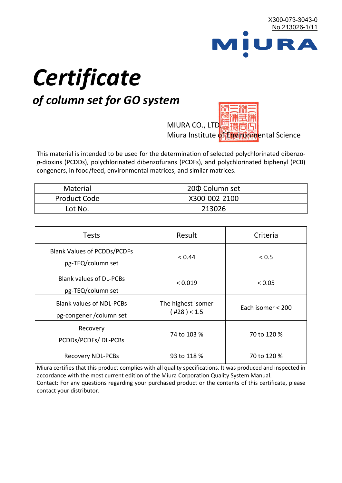

# *Certificate*

## *of column set for GO system*

MIURA CO., LTD. Miura Institute of 正版而解ental Science

This material is intended to be used for the determination of selected polychlorinated dibenzo*p*-dioxins (PCDDs), polychlorinated dibenzofurans (PCDFs), and polychlorinated biphenyl (PCB) congeners, in food/feed, environmental matrices, and similar matrices.

| <b>Material</b>     | 200 Column set |
|---------------------|----------------|
| <b>Product Code</b> | X300-002-2100  |
| Lot No.             | 213026         |

| <b>Tests</b>                                                | Result                            | Criteria          |  |
|-------------------------------------------------------------|-----------------------------------|-------------------|--|
| <b>Blank Values of PCDDs/PCDFs</b><br>pg-TEQ/column set     | < 0.44                            | < 0.5             |  |
| <b>Blank values of DL-PCBs</b><br>pg-TEQ/column set         | < 0.019                           | < 0.05            |  |
| <b>Blank values of NDL-PCBs</b><br>pg-congener / column set | The highest isomer<br>(428) < 1.5 | Each isomer < 200 |  |
| Recovery<br>PCDDs/PCDFs/DL-PCBs                             | 74 to 103 %                       | 70 to 120 %       |  |
| <b>Recovery NDL-PCBs</b>                                    | 93 to 118 %                       | 70 to 120 %       |  |

Miura certifies that this product complies with all quality specifications. It was produced and inspected in accordance with the most current edition of the Miura Corporation Quality System Manual. Contact: For any questions regarding your purchased product or the contents of this certificate, please contact your distributor.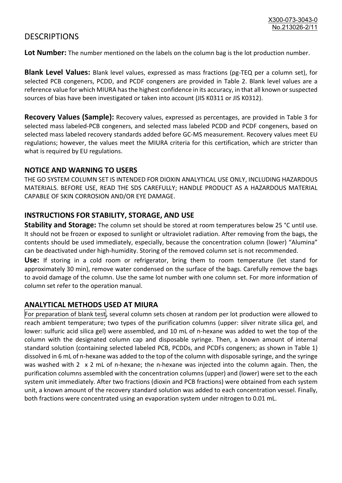### **DESCRIPTIONS**

**Lot Number:** The number mentioned on the labels on the column bag is the lot production number.

**Blank Level Values:** Blank level values, expressed as mass fractions (pg-TEQ per a column set), for selected PCB congeners, PCDD, and PCDF congeners are provided in Table 2. Blank level values are a reference value for which MIURA has the highest confidence in its accuracy, in that all known or suspected sources of bias have been investigated or taken into account (JIS K0311 or JIS K0312).

**Recovery Values (Sample):** Recovery values, expressed as percentages, are provided in Table 3 for selected mass labeled-PCB congeners, and selected mass labeled PCDD and PCDF congeners, based on selected mass labeled recovery standards added before GC-MS measurement. Recovery values meet EU regulations; however, the values meet the MIURA criteria for this certification, which are stricter than what is required by EU regulations.

#### **NOTICE AND WARNING TO USERS**

THE GO SYSTEM COLUMN SET IS INTENDED FOR DIOXIN ANALYTICAL USE ONLY, INCLUDING HAZARDOUS MATERIALS. BEFORE USE, READ THE SDS CAREFULLY; HANDLE PRODUCT AS A HAZARDOUS MATERIAL CAPABLE OF SKIN CORROSION AND/OR EYE DAMAGE.

#### **INSTRUCTIONS FOR STABILITY, STORAGE, AND USE**

**Stability and Storage:** The column set should be stored at room temperatures below 25 °C until use. It should not be frozen or exposed to sunlight or ultraviolet radiation. After removing from the bags, the contents should be used immediately, especially, because the concentration column (lower) "Alumina" can be deactivated under high-humidity. Storing of the removed column set is not recommended.

**Use:** If storing in a cold room or refrigerator, bring them to room temperature (let stand for approximately 30 min), remove water condensed on the surface of the bags. Carefully remove the bags to avoid damage of the column. Use the same lot number with one column set. For more information of column set refer to the operation manual.

#### **ANALYTICAL METHODS USED AT MIURA**

For preparation of blank test, several column sets chosen at random per lot production were allowed to reach ambient temperature; two types of the purification columns (upper: silver nitrate silica gel, and lower: sulfuric acid silica gel) were assembled, and 10 mL of n-hexane was added to wet the top of the column with the designated column cap and disposable syringe. Then, a known amount of internal standard solution (containing selected labeled PCB, PCDDs, and PCDFs congeners; as shown in Table 1) dissolved in 6 mL of n-hexane was added to the top of the column with disposable syringe, and the syringe was washed with 2 x 2 mL of n-hexane; the n-hexane was injected into the column again. Then, the purification columns assembled with the concentration columns (upper) and (lower) were set to the each system unit immediately. After two fractions (dioxin and PCB fractions) were obtained from each system unit, a known amount of the recovery standard solution was added to each concentration vessel. Finally, both fractions were concentrated using an evaporation system under nitrogen to 0.01 mL.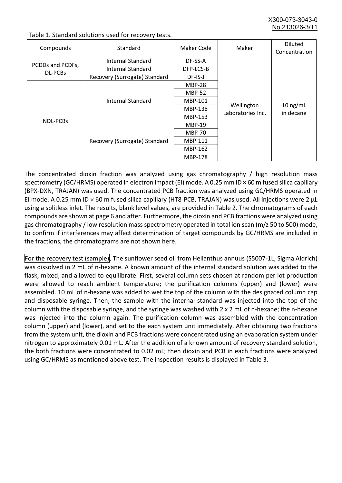X300-073-3043-0 No.213026-3/

| Compounds                          | Standard                      | Maker Code     | Maker                           | <b>Diluted</b><br>Concentration |
|------------------------------------|-------------------------------|----------------|---------------------------------|---------------------------------|
|                                    | Internal Standard             | DF-SS-A        |                                 |                                 |
| PCDDs and PCDFs,<br><b>DL-PCBs</b> | <b>Internal Standard</b>      | DFP-LCS-B      |                                 |                                 |
|                                    | Recovery (Surrogate) Standard | DF-IS-J        | Wellington<br>Laboratories Inc. | $10$ ng/mL<br>in decane         |
| <b>NDL-PCBs</b>                    | Internal Standard             | <b>MBP-28</b>  |                                 |                                 |
|                                    |                               | <b>MBP-52</b>  |                                 |                                 |
|                                    |                               | MBP-101        |                                 |                                 |
|                                    |                               | <b>MBP-138</b> |                                 |                                 |
|                                    |                               | MBP-153        |                                 |                                 |
|                                    | Recovery (Surrogate) Standard | <b>MBP-19</b>  |                                 |                                 |
|                                    |                               | <b>MBP-70</b>  |                                 |                                 |
|                                    |                               | <b>MBP-111</b> |                                 |                                 |
|                                    |                               | MBP-162        |                                 |                                 |
|                                    |                               | <b>MBP-178</b> |                                 |                                 |

Table 1. Standard solutions used for recovery tests.

The concentrated dioxin fraction was analyzed using gas chromatography / high resolution mass spectrometry (GC/HRMS) operated in electron impact (EI) mode. A 0.25 mm ID × 60 m fused silica capillary (BPX-DXN, TRAJAN) was used. The concentrated PCB fraction was analyzed using GC/HRMS operated in EI mode. A 0.25 mm ID × 60 m fused silica capillary (HT8-PCB, TRAJAN) was used. All injections were 2 μL using a splitless inlet. The results, blank level values, are provided in Table 2. The chromatograms of each compounds are shown at page 6 and after. Furthermore, the dioxin and PCB fractions were analyzed using gas chromatography / low resolution mass spectrometry operated in total ion scan (m/z 50 to 500) mode, to confirm if interferences may affect determination of target compounds by GC/HRMS are included in the fractions, the chromatograms are not shown here.

For the recovery test (sample), The sunflower seed oil from Helianthus annuus (S5007-1L, Sigma Aldrich) was dissolved in 2 mL of n-hexane. A known amount of the internal standard solution was added to the flask, mixed, and allowed to equilibrate. First, several column sets chosen at random per lot production were allowed to reach ambient temperature; the purification columns (upper) and (lower) were assembled. 10 mL of n-hexane was added to wet the top of the column with the designated column cap and disposable syringe. Then, the sample with the internal standard was injected into the top of the column with the disposable syringe, and the syringe was washed with 2 x 2 mL of n-hexane; the n-hexane was injected into the column again. The purification column was assembled with the concentration column (upper) and (lower), and set to the each system unit immediately. After obtaining two fractions from the system unit, the dioxin and PCB fractions were concentrated using an evaporation system under nitrogen to approximately 0.01 mL. After the addition of a known amount of recovery standard solution, the both fractions were concentrated to 0.02 mL; then dioxin and PCB in each fractions were analyzed using GC/HRMS as mentioned above test. The inspection results is displayed in Table 3.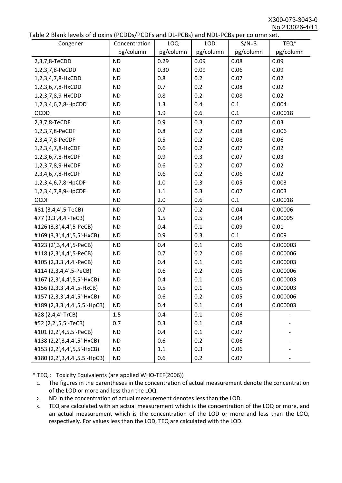X300-073-3043-0 No.213026-4/11

|  |  | Table 2 Blank levels of dioxins (PCDDs/PCDFs and DL-PCBs) and NDL-PCBs per column set. |
|--|--|----------------------------------------------------------------------------------------|
|--|--|----------------------------------------------------------------------------------------|

| able 2 Diarik levels of dioxins (FCDD3/FCDF3 and DL-FCD3) and NDL-FCD3 per column set.<br>Congener | Concentration | LOQ       | <b>LOD</b> | $S/N=3$   | TEQ*      |
|----------------------------------------------------------------------------------------------------|---------------|-----------|------------|-----------|-----------|
|                                                                                                    | pg/column     | pg/column | pg/column  | pg/column | pg/column |
| 2,3,7,8-TeCDD                                                                                      | <b>ND</b>     | 0.29      | 0.09       | 0.08      | 0.09      |
| 1,2,3,7,8-PeCDD                                                                                    | <b>ND</b>     | 0.30      | 0.09       | 0.06      | 0.09      |
| 1,2,3,4,7,8-HxCDD                                                                                  | <b>ND</b>     | 0.8       | 0.2        | 0.07      | 0.02      |
| 1,2,3,6,7,8-HxCDD                                                                                  | <b>ND</b>     | 0.7       | 0.2        | 0.08      | 0.02      |
| 1,2,3,7,8,9-HxCDD                                                                                  | <b>ND</b>     | 0.8       | 0.2        | 0.08      | 0.02      |
| 1,2,3,4,6,7,8-HpCDD                                                                                | <b>ND</b>     | 1.3       | 0.4        | 0.1       | 0.004     |
| <b>OCDD</b>                                                                                        | <b>ND</b>     | 1.9       | 0.6        | 0.1       | 0.00018   |
| 2,3,7,8-TeCDF                                                                                      | <b>ND</b>     | 0.9       | 0.3        | 0.07      | 0.03      |
| 1,2,3,7,8-PeCDF                                                                                    | <b>ND</b>     | 0.8       | 0.2        | 0.08      | 0.006     |
| 2,3,4,7,8-PeCDF                                                                                    | <b>ND</b>     | 0.5       | 0.2        | 0.08      | 0.06      |
| 1,2,3,4,7,8-HxCDF                                                                                  | <b>ND</b>     | 0.6       | 0.2        | 0.07      | 0.02      |
| 1,2,3,6,7,8-HxCDF                                                                                  | <b>ND</b>     | 0.9       | 0.3        | 0.07      | 0.03      |
| 1,2,3,7,8,9-HxCDF                                                                                  | <b>ND</b>     | 0.6       | 0.2        | 0.07      | 0.02      |
| 2,3,4,6,7,8-HxCDF                                                                                  | <b>ND</b>     | 0.6       | 0.2        | 0.06      | 0.02      |
| 1,2,3,4,6,7,8-HpCDF                                                                                | <b>ND</b>     | 1.0       | 0.3        | 0.05      | 0.003     |
| 1,2,3,4,7,8,9-HpCDF                                                                                | <b>ND</b>     | 1.1       | 0.3        | 0.07      | 0.003     |
| <b>OCDF</b>                                                                                        | <b>ND</b>     | 2.0       | 0.6        | 0.1       | 0.00018   |
| #81 (3,4,4',5-TeCB)                                                                                | <b>ND</b>     | 0.7       | 0.2        | 0.04      | 0.00006   |
| #77 (3,3',4,4'-TeCB)                                                                               | <b>ND</b>     | 1.5       | 0.5        | 0.04      | 0.00005   |
| #126 (3,3',4,4',5-PeCB)                                                                            | <b>ND</b>     | 0.4       | 0.1        | 0.09      | 0.01      |
| #169 (3,3',4,4',5,5'-HxCB)                                                                         | <b>ND</b>     | 0.9       | 0.3        | 0.1       | 0.009     |
| #123 (2',3,4,4',5-PeCB)                                                                            | <b>ND</b>     | 0.4       | 0.1        | 0.06      | 0.000003  |
| #118 (2,3',4,4',5-PeCB)                                                                            | <b>ND</b>     | 0.7       | 0.2        | 0.06      | 0.000006  |
| #105 (2,3,3',4,4'-PeCB)                                                                            | <b>ND</b>     | 0.4       | 0.1        | 0.06      | 0.000003  |
| #114 (2,3,4,4',5-PeCB)                                                                             | <b>ND</b>     | 0.6       | 0.2        | 0.05      | 0.000006  |
| #167 (2,3',4,4',5,5'-HxCB)                                                                         | <b>ND</b>     | 0.4       | 0.1        | 0.05      | 0.000003  |
| #156 (2,3,3',4,4',5-HxCB)                                                                          | <b>ND</b>     | 0.5       | 0.1        | 0.05      | 0.000003  |
| #157 (2,3,3',4,4',5'-HxCB)                                                                         | <b>ND</b>     | 0.6       | 0.2        | 0.05      | 0.000006  |
| #189 (2,3,3',4,4',5,5'-HpCB)                                                                       | <b>ND</b>     | 0.4       | 0.1        | 0.04      | 0.000003  |
| #28 (2,4,4'-TrCB)                                                                                  | 1.5           | 0.4       | 0.1        | 0.06      |           |
| #52 (2,2',5,5'-TeCB)                                                                               | 0.7           | 0.3       | 0.1        | 0.08      |           |
| #101 (2,2',4,5,5'-PeCB)                                                                            | <b>ND</b>     | 0.4       | 0.1        | 0.07      |           |
| #138 (2,2',3,4,4',5'-HxCB)                                                                         | <b>ND</b>     | 0.6       | 0.2        | 0.06      |           |
| #153 (2,2',4,4',5,5'-HxCB)                                                                         | <b>ND</b>     | 1.1       | 0.3        | 0.06      |           |
| #180 (2,2',3,4,4',5,5'-HpCB)                                                                       | <b>ND</b>     | 0.6       | 0.2        | 0.07      |           |

\* TEQ: Toxicity Equivalents (are applied WHO-TEF(2006))

- 1. The figures in the parentheses in the concentration of actual measurement denote the concentration of the LOD or more and less than the LOQ.
- 2. ND in the concentration of actual measurement denotes less than the LOD.
- 3. TEQ are calculated with an actual measurement which is the concentration of the LOQ or more, and an actual measurement which is the concentration of the LOD or more and less than the LOQ, respectively. For values less than the LOD, TEQ are calculated with the LOD.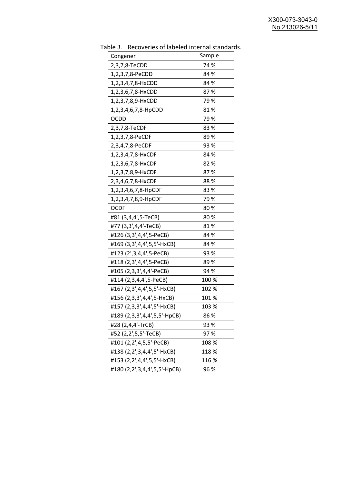| uwic J.<br>Recoveries of fabeled internal standar<br>Congener | Sample |
|---------------------------------------------------------------|--------|
| 2,3,7,8-TeCDD                                                 | 74 %   |
| 1,2,3,7,8-PeCDD                                               | 84 %   |
| 1,2,3,4,7,8-HxCDD                                             | 84 %   |
| 1,2,3,6,7,8-HxCDD                                             | 87%    |
| 1,2,3,7,8,9-HxCDD                                             | 79 %   |
| 1,2,3,4,6,7,8-HpCDD                                           | 81%    |
| <b>OCDD</b>                                                   | 79%    |
| 2,3,7,8-TeCDF                                                 | 83%    |
| 1,2,3,7,8-PeCDF                                               | 89%    |
| 2,3,4,7,8-PeCDF                                               | 93 %   |
| 1,2,3,4,7,8-HxCDF                                             | 84 %   |
| 1,2,3,6,7,8-HxCDF                                             | 82 %   |
| 1,2,3,7,8,9-HxCDF                                             | 87%    |
| 2,3,4,6,7,8-HxCDF                                             | 88%    |
| 1,2,3,4,6,7,8-HpCDF                                           | 83%    |
| 1,2,3,4,7,8,9-HpCDF                                           | 79 %   |
| <b>OCDF</b>                                                   | 80%    |
| #81 (3,4,4',5-TeCB)                                           | 80%    |
| #77 (3,3',4,4'-TeCB)                                          | 81%    |
| #126 (3,3',4,4',5-PeCB)                                       | 84 %   |
| #169 (3,3',4,4',5,5'-HxCB)                                    | 84 %   |
| #123 (2',3,4,4',5-PeCB)                                       | 93 %   |
| #118 (2,3',4,4',5-PeCB)                                       | 89%    |
| #105 (2,3,3',4,4'-PeCB)                                       | 94 %   |
| #114 (2,3,4,4',5-PeCB)                                        | 100 %  |
| #167 (2,3',4,4',5,5'-HxCB)                                    | 102 %  |
| #156 (2,3,3',4,4',5-HxCB)                                     | 101 %  |
| #157 (2,3,3',4,4',5'-HxCB)                                    | 103 %  |
| #189 (2,3,3',4,4',5,5'-HpCB)                                  | 86 %   |
| #28 (2,4,4'-TrCB)                                             | 93 %   |
| #52 (2,2',5,5'-TeCB)                                          | 97%    |
| #101 (2,2',4,5,5'-PeCB)                                       | 108 %  |
| #138 (2,2',3,4,4',5'-HxCB)                                    | 118 %  |
| #153 (2,2',4,4',5,5'-HxCB)                                    | 116 %  |
| #180 (2,2',3,4,4',5,5'-HpCB)                                  | 96 %   |

Table 3. Recoveries of labeled internal standards.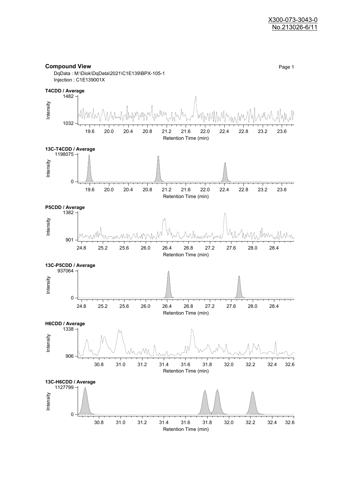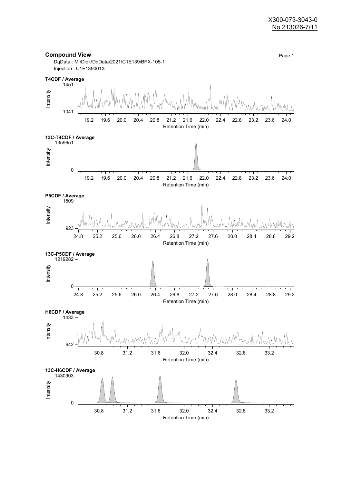#### X300-073-3043-0 No.213026-7/11

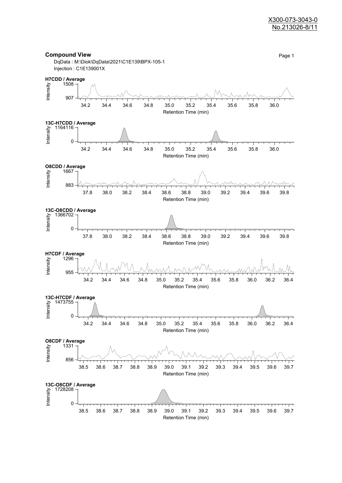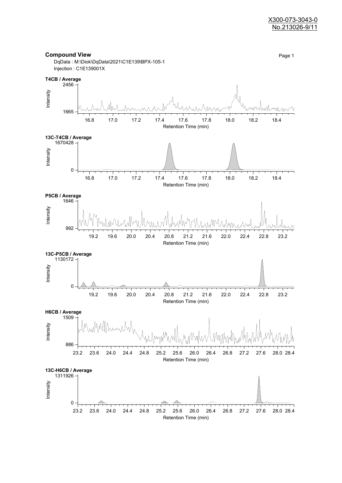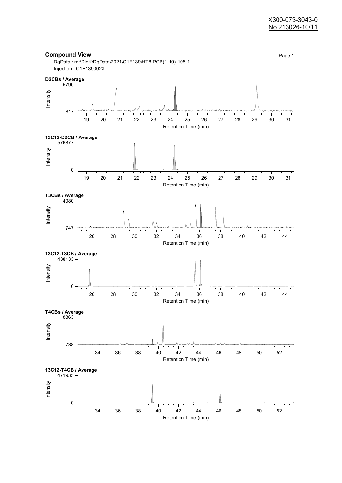